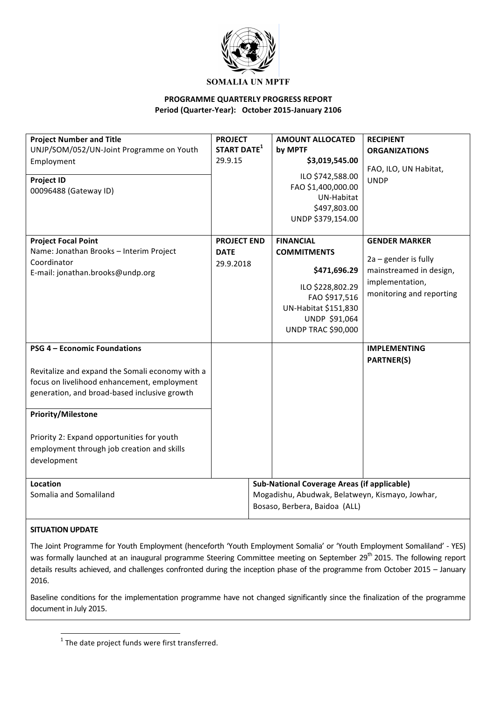

### **PROGRAMME QUARTERLY PROGRESS REPORT** Period (Quarter-Year): October 2015-January 2106

| <b>Project Number and Title</b><br>UNJP/SOM/052/UN-Joint Programme on Youth<br>Employment<br><b>Project ID</b><br>00096488 (Gateway ID)                                                                                                                                                                                       | <b>PROJECT</b><br>START DATE <sup>1</sup><br>29.9.15 | <b>AMOUNT ALLOCATED</b><br>by MPTF<br>\$3,019,545.00<br>ILO \$742,588.00<br>FAO \$1,400,000.00<br>UN-Habitat<br>\$497,803.00<br>UNDP \$379,154.00                 | <b>RECIPIENT</b><br><b>ORGANIZATIONS</b><br>FAO, ILO, UN Habitat,<br><b>UNDP</b>                                         |
|-------------------------------------------------------------------------------------------------------------------------------------------------------------------------------------------------------------------------------------------------------------------------------------------------------------------------------|------------------------------------------------------|-------------------------------------------------------------------------------------------------------------------------------------------------------------------|--------------------------------------------------------------------------------------------------------------------------|
| <b>Project Focal Point</b><br>Name: Jonathan Brooks - Interim Project<br>Coordinator<br>E-mail: jonathan.brooks@undp.org                                                                                                                                                                                                      | <b>PROJECT END</b><br><b>DATE</b><br>29.9.2018       | <b>FINANCIAL</b><br><b>COMMITMENTS</b><br>\$471,696.29<br>ILO \$228,802.29<br>FAO \$917,516<br>UN-Habitat \$151,830<br>UNDP \$91,064<br><b>UNDP TRAC \$90,000</b> | <b>GENDER MARKER</b><br>$2a$ – gender is fully<br>mainstreamed in design,<br>implementation,<br>monitoring and reporting |
| <b>PSG 4 - Economic Foundations</b><br>Revitalize and expand the Somali economy with a<br>focus on livelihood enhancement, employment<br>generation, and broad-based inclusive growth<br><b>Priority/Milestone</b><br>Priority 2: Expand opportunities for youth<br>employment through job creation and skills<br>development |                                                      |                                                                                                                                                                   | <b>IMPLEMENTING</b><br><b>PARTNER(S)</b>                                                                                 |
| Location<br>Somalia and Somaliland                                                                                                                                                                                                                                                                                            |                                                      | <b>Sub-National Coverage Areas (if applicable)</b><br>Mogadishu, Abudwak, Belatweyn, Kismayo, Jowhar,<br>Bosaso, Berbera, Baidoa (ALL)                            |                                                                                                                          |

### **SITUATION UPDATE**

The Joint Programme for Youth Employment (henceforth 'Youth Employment Somalia' or 'Youth Employment Somaliland' - YES) was formally launched at an inaugural programme Steering Committee meeting on September 29<sup>th</sup> 2015. The following report details results achieved, and challenges confronted during the inception phase of the programme from October 2015 – January 2016. 

Baseline conditions for the implementation programme have not changed significantly since the finalization of the programme document in July 2015.

<u> 1989 - Jan Samuel Barbara, margaret e</u>

 $1$  The date project funds were first transferred.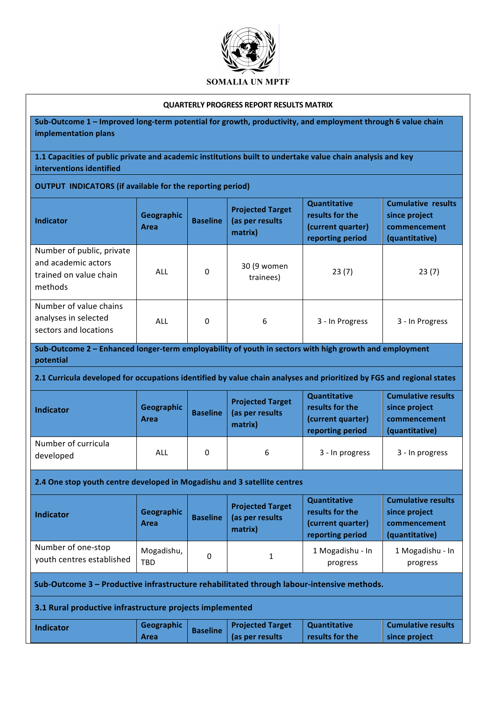

#### **QUARTERLY PROGRESS REPORT RESULTS MATRIX**

Sub-Outcome 1 – Improved long-term potential for growth, productivity, and employment through 6 value chain **implementation plans**

**1.1 Capacities of public private and academic institutions built to undertake value chain analysis and key interventions identified**

### **OUTPUT** INDICATORS (if available for the reporting period)

| <b>Indicator</b>                                                                      | Geographic<br>Area | <b>Baseline</b> | <b>Projected Target</b><br>(as per results<br>matrix) | Quantitative<br>results for the<br>(current quarter)<br>reporting period | <b>Cumulative results</b><br>since project<br>commencement<br>(quantitative) |
|---------------------------------------------------------------------------------------|--------------------|-----------------|-------------------------------------------------------|--------------------------------------------------------------------------|------------------------------------------------------------------------------|
| Number of public, private<br>and academic actors<br>trained on value chain<br>methods | ALL                | 0               | 30 (9 women<br>trainees)                              | 23(7)                                                                    | 23(7)                                                                        |
| Number of value chains<br>analyses in selected<br>sectors and locations               | ALL                | 0               | 6                                                     | 3 - In Progress                                                          | 3 - In Progress                                                              |

Sub-Outcome 2 - Enhanced longer-term employability of youth in sectors with high growth and employment **potential**

#### 2.1 Curricula developed for occupations identified by value chain analyses and prioritized by FGS and regional states

| <b>Indicator</b>                 | Geographic<br>Area | <b>Baseline</b> | <b>Projected Target</b><br>(as per results)<br>matrix) | <b>Quantitative</b><br>results for the<br>(current quarter)<br>reporting period | <b>Cumulative results</b><br>since project<br>commencement<br>(quantitative) |
|----------------------------------|--------------------|-----------------|--------------------------------------------------------|---------------------------------------------------------------------------------|------------------------------------------------------------------------------|
| Number of curricula<br>developed | ALL                | 0               | 6                                                      | 3 - In progress                                                                 | 3 - In progress                                                              |

**2.4 One stop youth centre developed in Mogadishu and 3 satellite centres** 

| <b>Indicator</b>                                | Geographic<br>Area       | <b>Baseline</b> | <b>Projected Target</b><br>(as per results<br>matrix) | <b>Quantitative</b><br>results for the<br>(current quarter)<br>reporting period | <b>Cumulative results</b><br>since project<br>commencement<br>(quantitative) |
|-------------------------------------------------|--------------------------|-----------------|-------------------------------------------------------|---------------------------------------------------------------------------------|------------------------------------------------------------------------------|
| Number of one-stop<br>youth centres established | Mogadishu,<br><b>TBD</b> | 0               | $\mathbf{1}$                                          | 1 Mogadishu - In<br>progress                                                    | 1 Mogadishu - In<br>progress                                                 |

Sub-Outcome 3 - Productive infrastructure rehabilitated through labour-intensive methods.

**3.1 Rural productive infrastructure projects implemented** 

| <b>Indicator</b> | Geographic | <b>Baseline</b> | <b>Projected Target</b> | <b>Quantitative</b> | Cumulative results |
|------------------|------------|-----------------|-------------------------|---------------------|--------------------|
|                  | Area       |                 | (as per results         | results for the     | since project      |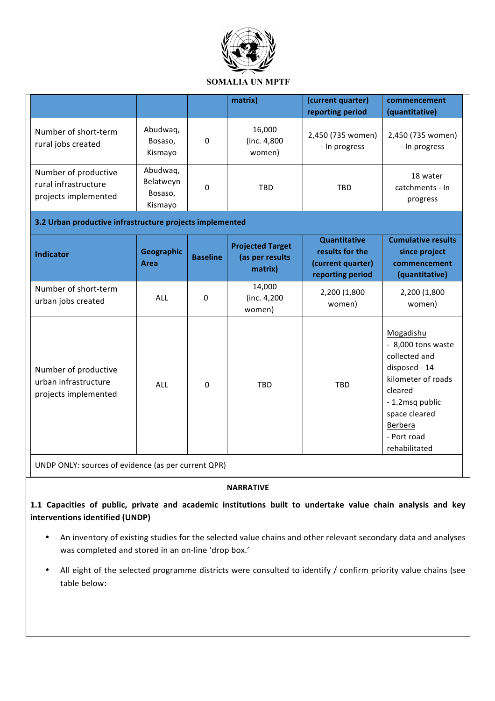

|                                                                      |                                             |                 | matrix)                                               | (current quarter)<br>reporting period                                           | commencement<br>(quantitative)                                                                                                                                                    |
|----------------------------------------------------------------------|---------------------------------------------|-----------------|-------------------------------------------------------|---------------------------------------------------------------------------------|-----------------------------------------------------------------------------------------------------------------------------------------------------------------------------------|
| Number of short-term<br>rural jobs created                           | Abudwaq,<br>Bosaso,<br>Kismayo              | 0               | 16,000<br>(inc. 4,800)<br>women)                      | 2,450 (735 women)<br>- In progress                                              | 2,450 (735 women)<br>- In progress                                                                                                                                                |
| Number of productive<br>rural infrastructure<br>projects implemented | Abudwaq,<br>Belatweyn<br>Bosaso,<br>Kismayo | 0               | TBD                                                   | <b>TBD</b>                                                                      | 18 water<br>catchments - In<br>progress                                                                                                                                           |
| 3.2 Urban productive infrastructure projects implemented             |                                             |                 |                                                       |                                                                                 |                                                                                                                                                                                   |
| <b>Indicator</b>                                                     | Geographic<br>Area                          | <b>Baseline</b> | <b>Projected Target</b><br>(as per results<br>matrix) | <b>Quantitative</b><br>results for the<br>(current quarter)<br>reporting period | <b>Cumulative results</b><br>since project<br>commencement<br>(quantitative)                                                                                                      |
| Number of short-term<br>urban jobs created                           | <b>ALL</b>                                  | $\Omega$        | 14,000<br>(inc. 4,200<br>women)                       | 2,200 (1,800<br>women)                                                          | 2,200 (1,800<br>women)                                                                                                                                                            |
| Number of productive<br>urban infrastructure<br>projects implemented | <b>ALL</b>                                  | 0               | <b>TBD</b>                                            | TBD                                                                             | Mogadishu<br>- 8,000 tons waste<br>collected and<br>disposed - 14<br>kilometer of roads<br>cleared<br>- 1.2msq public<br>space cleared<br>Berbera<br>- Port road<br>rehabilitated |

UNDP ONLY: sources of evidence (as per current QPR)

### **NARRATIVE**

1.1 Capacities of public, private and academic institutions built to undertake value chain analysis and key **interventions identified (UNDP)** 

- An inventory of existing studies for the selected value chains and other relevant secondary data and analyses was completed and stored in an on-line 'drop box.'
- All eight of the selected programme districts were consulted to identify / confirm priority value chains (see table below: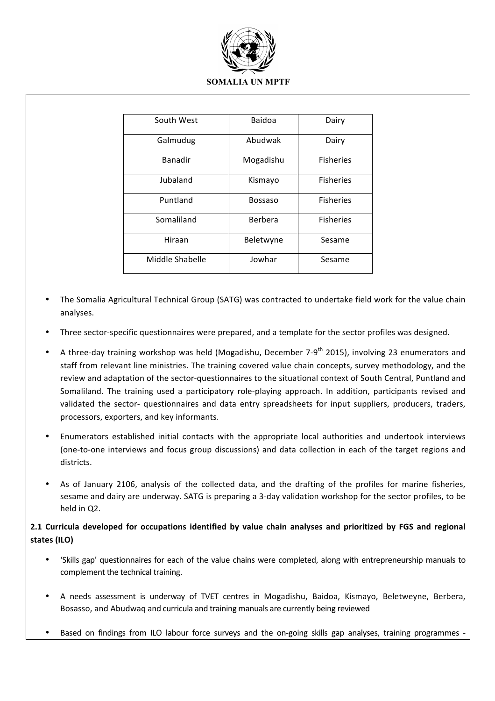

| South West      | Baidoa         | Dairy            |
|-----------------|----------------|------------------|
| Galmudug        | Abudwak        | Dairy            |
| <b>Banadir</b>  | Mogadishu      | <b>Fisheries</b> |
| Jubaland        | Kismayo        | <b>Fisheries</b> |
| Puntland        | <b>Bossaso</b> | <b>Fisheries</b> |
| Somaliland      | Berbera        | <b>Fisheries</b> |
| Hiraan          | Beletwyne      | Sesame           |
| Middle Shabelle | Jowhar         | Sesame           |

- The Somalia Agricultural Technical Group (SATG) was contracted to undertake field work for the value chain analyses.
- Three sector-specific questionnaires were prepared, and a template for the sector profiles was designed.
- A three-day training workshop was held (Mogadishu, December 7-9<sup>th</sup> 2015), involving 23 enumerators and staff from relevant line ministries. The training covered value chain concepts, survey methodology, and the review and adaptation of the sector-questionnaires to the situational context of South Central, Puntland and Somaliland. The training used a participatory role-playing approach. In addition, participants revised and validated the sector- questionnaires and data entry spreadsheets for input suppliers, producers, traders, processors, exporters, and key informants.
- Enumerators established initial contacts with the appropriate local authorities and undertook interviews (one-to-one interviews and focus group discussions) and data collection in each of the target regions and districts.
- As of January 2106, analysis of the collected data, and the drafting of the profiles for marine fisheries, sesame and dairy are underway. SATG is preparing a 3-day validation workshop for the sector profiles, to be held in Q2.

# 2.1 Curricula developed for occupations identified by value chain analyses and prioritized by FGS and regional **states (ILO)**

- 'Skills gap' questionnaires for each of the value chains were completed, along with entrepreneurship manuals to complement the technical training.
- A needs assessment is underway of TVET centres in Mogadishu, Baidoa, Kismayo, Beletweyne, Berbera, Bosasso, and Abudwaq and curricula and training manuals are currently being reviewed
- Based on findings from ILO labour force surveys and the on-going skills gap analyses, training programmes  $\cdot$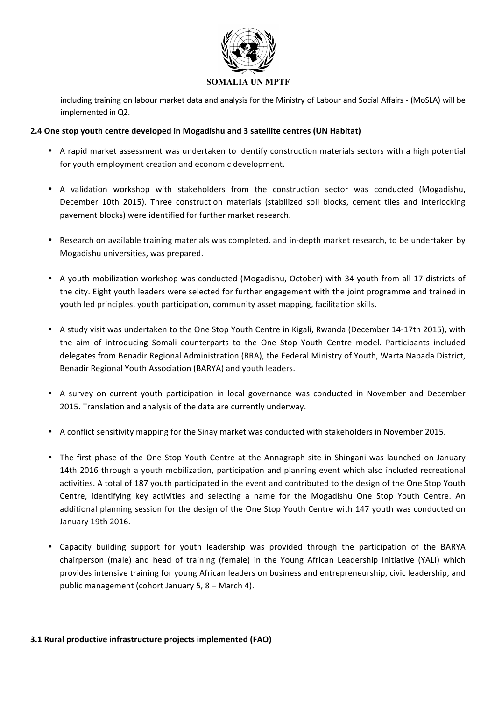

including training on labour market data and analysis for the Ministry of Labour and Social Affairs - (MoSLA) will be implemented in Q2.

## **2.4** One stop youth centre developed in Mogadishu and 3 satellite centres (UN Habitat)

- A rapid market assessment was undertaken to identify construction materials sectors with a high potential for youth employment creation and economic development.
- A validation workshop with stakeholders from the construction sector was conducted (Mogadishu, December 10th 2015). Three construction materials (stabilized soil blocks, cement tiles and interlocking pavement blocks) were identified for further market research.
- Research on available training materials was completed, and in-depth market research, to be undertaken by Mogadishu universities, was prepared.
- A youth mobilization workshop was conducted (Mogadishu, October) with 34 youth from all 17 districts of the city. Eight youth leaders were selected for further engagement with the joint programme and trained in youth led principles, youth participation, community asset mapping, facilitation skills.
- A study visit was undertaken to the One Stop Youth Centre in Kigali, Rwanda (December 14-17th 2015), with the aim of introducing Somali counterparts to the One Stop Youth Centre model. Participants included delegates from Benadir Regional Administration (BRA), the Federal Ministry of Youth, Warta Nabada District, Benadir Regional Youth Association (BARYA) and youth leaders.
- A survey on current youth participation in local governance was conducted in November and December 2015. Translation and analysis of the data are currently underway.
- A conflict sensitivity mapping for the Sinay market was conducted with stakeholders in November 2015.
- The first phase of the One Stop Youth Centre at the Annagraph site in Shingani was launched on January 14th 2016 through a youth mobilization, participation and planning event which also included recreational activities. A total of 187 youth participated in the event and contributed to the design of the One Stop Youth Centre, identifying key activities and selecting a name for the Mogadishu One Stop Youth Centre. An additional planning session for the design of the One Stop Youth Centre with 147 youth was conducted on January 19th 2016.
- Capacity building support for youth leadership was provided through the participation of the BARYA chairperson (male) and head of training (female) in the Young African Leadership Initiative (YALI) which provides intensive training for young African leaders on business and entrepreneurship, civic leadership, and public management (cohort January  $5, 8 -$  March 4).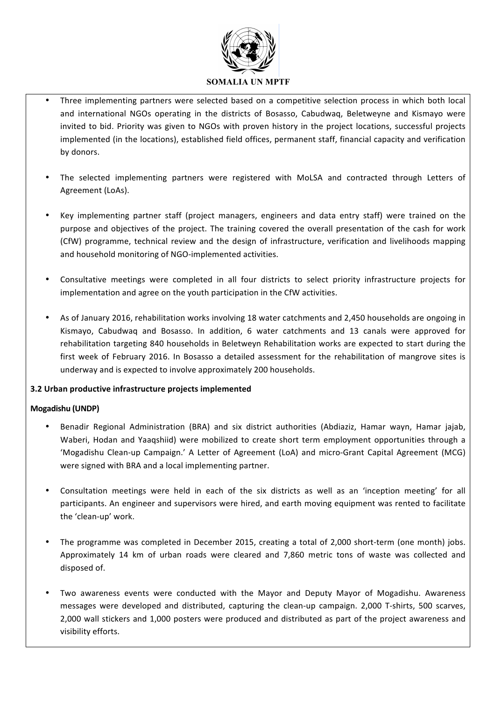

- Three implementing partners were selected based on a competitive selection process in which both local and international NGOs operating in the districts of Bosasso, Cabudwaq, Beletweyne and Kismayo were invited to bid. Priority was given to NGOs with proven history in the project locations, successful projects implemented (in the locations), established field offices, permanent staff, financial capacity and verification by donors.
- The selected implementing partners were registered with MoLSA and contracted through Letters of Agreement (LoAs).
- Key implementing partner staff (project managers, engineers and data entry staff) were trained on the purpose and objectives of the project. The training covered the overall presentation of the cash for work (CfW) programme, technical review and the design of infrastructure, verification and livelihoods mapping and household monitoring of NGO-implemented activities.
- Consultative meetings were completed in all four districts to select priority infrastructure projects for implementation and agree on the youth participation in the CfW activities.
- As of January 2016, rehabilitation works involving 18 water catchments and 2,450 households are ongoing in Kismayo, Cabudwaq and Bosasso. In addition, 6 water catchments and 13 canals were approved for rehabilitation targeting 840 households in Beletweyn Rehabilitation works are expected to start during the first week of February 2016. In Bosasso a detailed assessment for the rehabilitation of mangrove sites is underway and is expected to involve approximately 200 households.

# **3.2 Urban productive infrastructure projects implemented**

### **Mogadishu (UNDP)**

- Benadir Regional Administration (BRA) and six district authorities (Abdiaziz, Hamar wayn, Hamar jajab, Waberi, Hodan and Yaaqshiid) were mobilized to create short term employment opportunities through a 'Mogadishu Clean-up Campaign.' A Letter of Agreement (LoA) and micro-Grant Capital Agreement (MCG) were signed with BRA and a local implementing partner.
- Consultation meetings were held in each of the six districts as well as an 'inception meeting' for all participants. An engineer and supervisors were hired, and earth moving equipment was rented to facilitate the 'clean-up' work.
- The programme was completed in December 2015, creating a total of 2,000 short-term (one month) jobs. Approximately 14 km of urban roads were cleared and 7,860 metric tons of waste was collected and disposed of.
- Two awareness events were conducted with the Mayor and Deputy Mayor of Mogadishu. Awareness messages were developed and distributed, capturing the clean-up campaign. 2,000 T-shirts, 500 scarves, 2,000 wall stickers and 1,000 posters were produced and distributed as part of the project awareness and visibility efforts.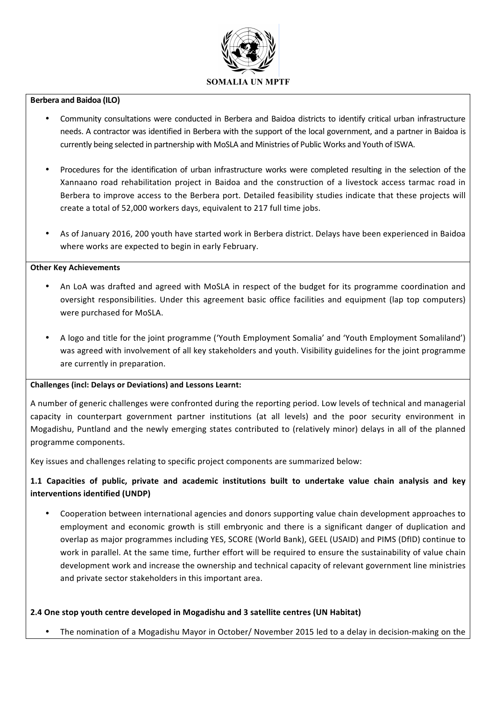

### **Berbera and Baidoa (ILO)**

- Community consultations were conducted in Berbera and Baidoa districts to identify critical urban infrastructure needs. A contractor was identified in Berbera with the support of the local government, and a partner in Baidoa is currently being selected in partnership with MoSLA and Ministries of Public Works and Youth of ISWA.
- Procedures for the identification of urban infrastructure works were completed resulting in the selection of the Xannaano road rehabilitation project in Baidoa and the construction of a livestock access tarmac road in Berbera to improve access to the Berbera port. Detailed feasibility studies indicate that these projects will create a total of 52,000 workers days, equivalent to 217 full time jobs.
- As of January 2016, 200 youth have started work in Berbera district. Delays have been experienced in Baidoa where works are expected to begin in early February.

#### **Other Key Achievements**

- An LoA was drafted and agreed with MoSLA in respect of the budget for its programme coordination and oversight responsibilities. Under this agreement basic office facilities and equipment (lap top computers) were purchased for MoSLA.
- A logo and title for the joint programme ('Youth Employment Somalia' and 'Youth Employment Somaliland') was agreed with involvement of all key stakeholders and youth. Visibility guidelines for the joint programme are currently in preparation.

### **Challenges (incl: Delays or Deviations) and Lessons Learnt:**

A number of generic challenges were confronted during the reporting period. Low levels of technical and managerial capacity in counterpart government partner institutions (at all levels) and the poor security environment in Mogadishu, Puntland and the newly emerging states contributed to (relatively minor) delays in all of the planned programme components.

Key issues and challenges relating to specific project components are summarized below:

# **1.1 Capacities of public, private and academic institutions built to undertake value chain analysis and key interventions identified (UNDP)**

Cooperation between international agencies and donors supporting value chain development approaches to employment and economic growth is still embryonic and there is a significant danger of duplication and overlap as major programmes including YES, SCORE (World Bank), GEEL (USAID) and PIMS (DfID) continue to work in parallel. At the same time, further effort will be required to ensure the sustainability of value chain development work and increase the ownership and technical capacity of relevant government line ministries and private sector stakeholders in this important area.

# **2.4 One stop youth centre developed in Mogadishu and 3 satellite centres (UN Habitat)**

The nomination of a Mogadishu Mayor in October/ November 2015 led to a delay in decision-making on the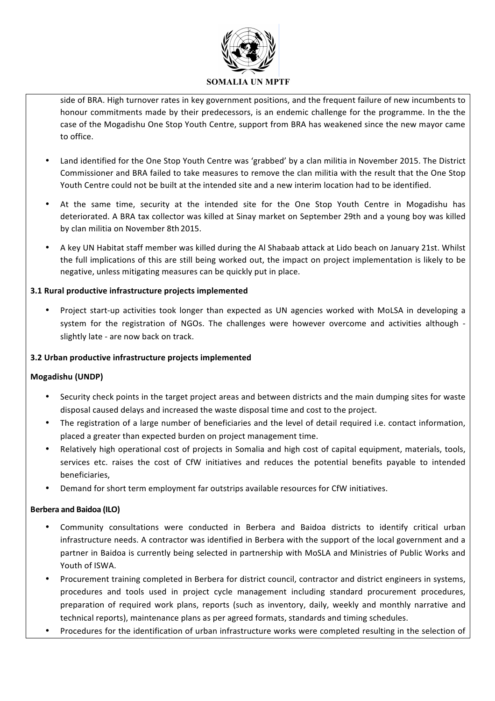

side of BRA. High turnover rates in key government positions, and the frequent failure of new incumbents to honour commitments made by their predecessors, is an endemic challenge for the programme. In the the case of the Mogadishu One Stop Youth Centre, support from BRA has weakened since the new mayor came to office.

- Land identified for the One Stop Youth Centre was 'grabbed' by a clan militia in November 2015. The District Commissioner and BRA failed to take measures to remove the clan militia with the result that the One Stop Youth Centre could not be built at the intended site and a new interim location had to be identified.
- At the same time, security at the intended site for the One Stop Youth Centre in Mogadishu has deteriorated. A BRA tax collector was killed at Sinay market on September 29th and a young boy was killed by clan militia on November 8th 2015.
- A key UN Habitat staff member was killed during the Al Shabaab attack at Lido beach on January 21st. Whilst the full implications of this are still being worked out, the impact on project implementation is likely to be negative, unless mitigating measures can be quickly put in place.

## **3.1 Rural productive infrastructure projects implemented**

Project start-up activities took longer than expected as UN agencies worked with MoLSA in developing a system for the registration of NGOs. The challenges were however overcome and activities although slightly late - are now back on track.

### **3.2 Urban productive infrastructure projects implemented**

### **Mogadishu (UNDP)**

- Security check points in the target project areas and between districts and the main dumping sites for waste disposal caused delays and increased the waste disposal time and cost to the project.
- The registration of a large number of beneficiaries and the level of detail required i.e. contact information, placed a greater than expected burden on project management time.
- Relatively high operational cost of projects in Somalia and high cost of capital equipment, materials, tools, services etc. raises the cost of CfW initiatives and reduces the potential benefits payable to intended beneficiaries,
- Demand for short term employment far outstrips available resources for CfW initiatives.

### **Berbera and Baidoa (ILO)**

- Community consultations were conducted in Berbera and Baidoa districts to identify critical urban infrastructure needs. A contractor was identified in Berbera with the support of the local government and a partner in Baidoa is currently being selected in partnership with MoSLA and Ministries of Public Works and Youth of ISWA.
- Procurement training completed in Berbera for district council, contractor and district engineers in systems, procedures and tools used in project cycle management including standard procurement procedures, preparation of required work plans, reports (such as inventory, daily, weekly and monthly narrative and technical reports), maintenance plans as per agreed formats, standards and timing schedules.
- Procedures for the identification of urban infrastructure works were completed resulting in the selection of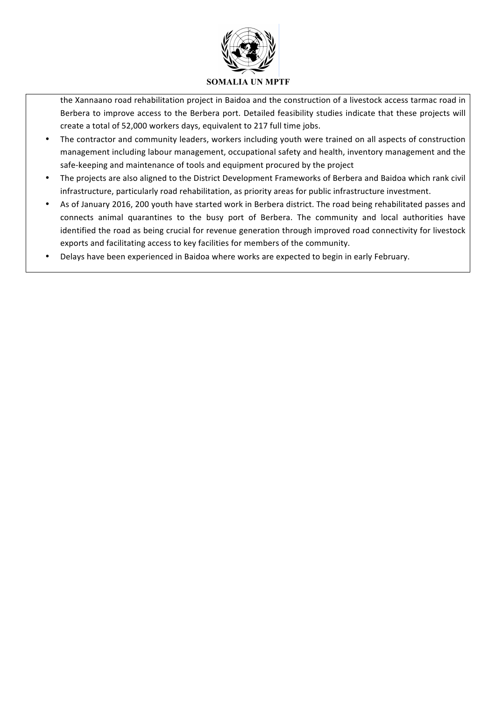

the Xannaano road rehabilitation project in Baidoa and the construction of a livestock access tarmac road in Berbera to improve access to the Berbera port. Detailed feasibility studies indicate that these projects will create a total of 52,000 workers days, equivalent to 217 full time jobs.

- The contractor and community leaders, workers including youth were trained on all aspects of construction management including labour management, occupational safety and health, inventory management and the safe-keeping and maintenance of tools and equipment procured by the project
- The projects are also aligned to the District Development Frameworks of Berbera and Baidoa which rank civil infrastructure, particularly road rehabilitation, as priority areas for public infrastructure investment.
- As of January 2016, 200 youth have started work in Berbera district. The road being rehabilitated passes and connects animal quarantines to the busy port of Berbera. The community and local authorities have identified the road as being crucial for revenue generation through improved road connectivity for livestock exports and facilitating access to key facilities for members of the community.
- Delays have been experienced in Baidoa where works are expected to begin in early February.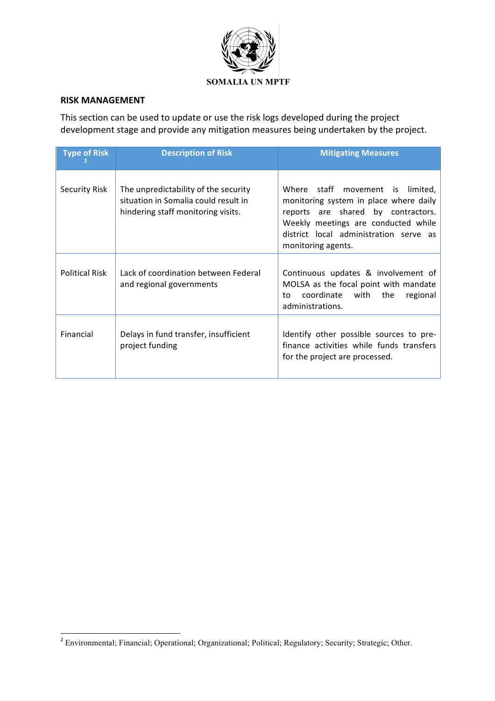

## **RISK MANAGEMENT**

This section can be used to update or use the risk logs developed during the project development stage and provide any mitigation measures being undertaken by the project.

| <b>Type of Risk</b>   | <b>Description of Risk</b>                                                                                         | <b>Mitigating Measures</b>                                                                                                                                                                                              |
|-----------------------|--------------------------------------------------------------------------------------------------------------------|-------------------------------------------------------------------------------------------------------------------------------------------------------------------------------------------------------------------------|
| Security Risk         | The unpredictability of the security<br>situation in Somalia could result in<br>hindering staff monitoring visits. | Where staff movement is limited,<br>monitoring system in place where daily<br>reports are shared by contractors.<br>Weekly meetings are conducted while<br>district local administration serve as<br>monitoring agents. |
| <b>Political Risk</b> | Lack of coordination between Federal<br>and regional governments                                                   | Continuous updates & involvement of<br>MOLSA as the focal point with mandate<br>coordinate with<br>the<br>regional<br>to<br>administrations.                                                                            |
| Financial             | Delays in fund transfer, insufficient<br>project funding                                                           | Identify other possible sources to pre-<br>finance activities while funds transfers<br>for the project are processed.                                                                                                   |

<u> 1989 - Jan Samuel Barbara, margaret e</u>

<sup>&</sup>lt;sup>2</sup> Environmental; Financial; Operational; Organizational; Political; Regulatory; Security; Strategic; Other.